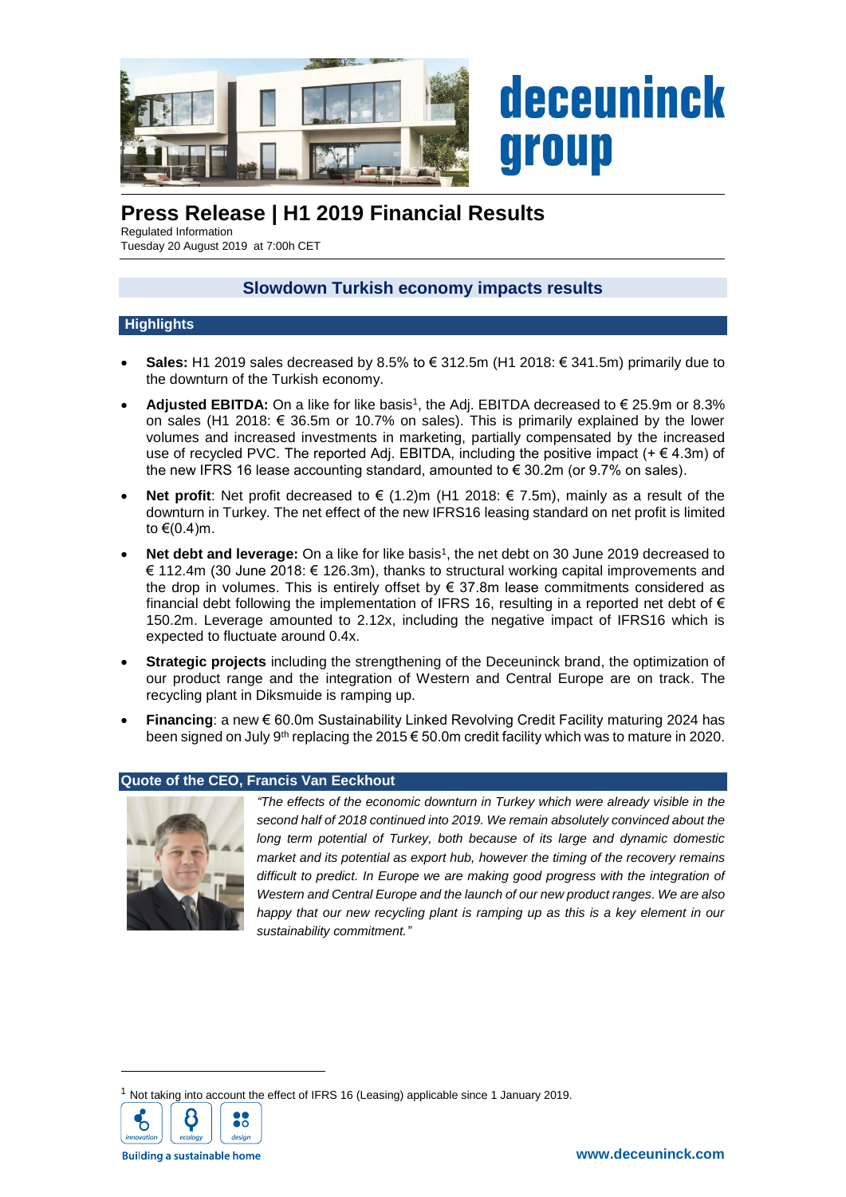

# **Press Release | H1 2019 Financial Results**

Regulated Information Tuesday 20 August 2019 at 7:00h CET

# **Slowdown Turkish economy impacts results**

# **Highlights**

- **Sales:** H1 2019 sales decreased by 8.5% to € 312.5m (H1 2018: € 341.5m) primarily due to the downturn of the Turkish economy.
- **Adjusted EBITDA:** On a like for like basis<sup>1</sup>, the Adj. EBITDA decreased to € 25.9m or 8.3% on sales (H1 2018: € 36.5m or 10.7% on sales). This is primarily explained by the lower volumes and increased investments in marketing, partially compensated by the increased use of recycled PVC. The reported Adj. EBITDA, including the positive impact ( $+\in$  4.3m) of the new IFRS 16 lease accounting standard, amounted to  $\epsilon$  30.2m (or 9.7% on sales).
- **Net profit:** Net profit decreased to € (1.2)m (H1 2018: € 7.5m), mainly as a result of the downturn in Turkey. The net effect of the new IFRS16 leasing standard on net profit is limited to  $\epsilon$ (0.4)m.
- Net debt and leverage: On a like for like basis<sup>1</sup>, the net debt on 30 June 2019 decreased to € 112.4m (30 June 2018: € 126.3m), thanks to structural working capital improvements and the drop in volumes. This is entirely offset by  $\epsilon$  37.8m lease commitments considered as financial debt following the implementation of IFRS 16, resulting in a reported net debt of  $\epsilon$ 150.2m. Leverage amounted to 2.12x, including the negative impact of IFRS16 which is expected to fluctuate around 0.4x.
- **Strategic projects** including the strengthening of the Deceuninck brand, the optimization of our product range and the integration of Western and Central Europe are on track. The recycling plant in Diksmuide is ramping up.
- **Financing**: a new € 60.0m Sustainability Linked Revolving Credit Facility maturing 2024 has been signed on July 9<sup>th</sup> replacing the 2015 € 50.0m credit facility which was to mature in 2020.

# **Quote of the CEO, Francis Van Eeckhout**



*"The effects of the economic downturn in Turkey which were already visible in the second half of 2018 continued into 2019. We remain absolutely convinced about the long term potential of Turkey, both because of its large and dynamic domestic market and its potential as export hub, however the timing of the recovery remains difficult to predict. In Europe we are making good progress with the integration of Western and Central Europe and the launch of our new product ranges. We are also happy that our new recycling plant is ramping up as this is a key element in our sustainability commitment."*

<sup>1</sup> Not taking into account the effect of IFRS 16 (Leasing) applicable since 1 January 2019.



1

**Building a sustainable home**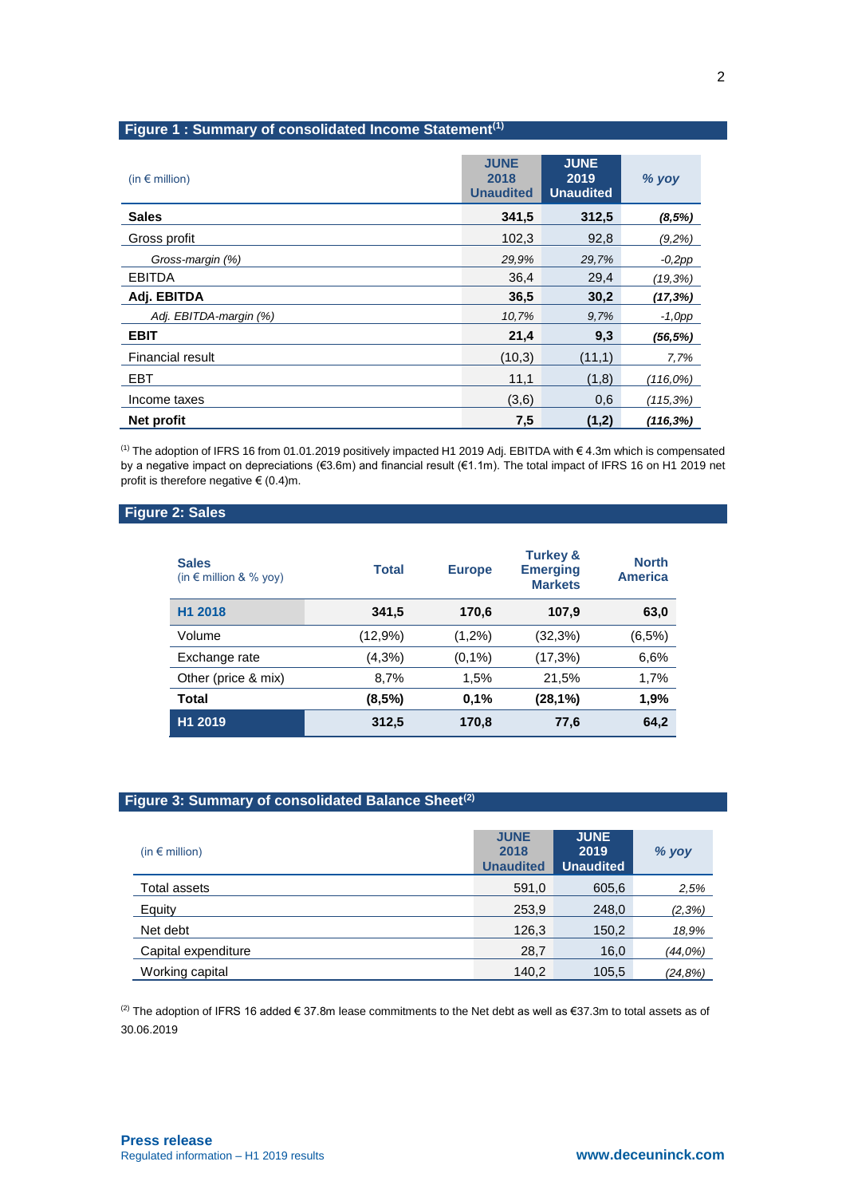# **Figure 1 : Summary of consolidated Income Statement(1)**

| (in $\epsilon$ million) | <b>JUNE</b><br>2018<br><b>Unaudited</b> | <b>JUNE</b><br>2019<br><b>Unaudited</b> | % yoy        |
|-------------------------|-----------------------------------------|-----------------------------------------|--------------|
| <b>Sales</b>            | 341,5                                   | 312,5                                   | (8,5%)       |
| Gross profit            | 102,3                                   | 92,8                                    | (9,2%)       |
| Gross-margin (%)        | 29.9%                                   | 29,7%                                   | $-0,2pp$     |
| <b>EBITDA</b>           | 36.4                                    | 29,4                                    | $(19, 3\%)$  |
| Adj. EBITDA             | 36,5                                    | 30,2                                    | (17,3%)      |
| Adj. EBITDA-margin (%)  | 10,7%                                   | 9,7%                                    | $-1, Opp$    |
| <b>EBIT</b>             | 21,4                                    | 9,3                                     | (56, 5%)     |
| Financial result        | (10,3)                                  | (11,1)                                  | 7,7%         |
| <b>EBT</b>              | 11,1                                    | (1,8)                                   | (116,0%)     |
| Income taxes            | (3,6)                                   | 0,6                                     | $(115, 3\%)$ |
| Net profit              | 7,5                                     | (1,2)                                   | $(116, 3\%)$ |

(1) The adoption of IFRS 16 from 01.01.2019 positively impacted H1 2019 Adj. EBITDA with € 4.3m which is compensated by a negative impact on depreciations (€3.6m) and financial result (€1.1m). The total impact of IFRS 16 on H1 2019 net profit is therefore negative  $\in$  (0.4)m.

# **Figure 2: Sales**

| <b>Sales</b><br>(in $\epsilon$ million & % yoy) | <b>Total</b> | <b>Europe</b> | <b>Turkey &amp;</b><br><b>Emerging</b><br><b>Markets</b> | <b>North</b><br><b>America</b> |
|-------------------------------------------------|--------------|---------------|----------------------------------------------------------|--------------------------------|
| H1 2018                                         | 341,5        | 170,6         | 107.9                                                    | 63,0                           |
| Volume                                          | (12,9%)      | $(1,2\%)$     | (32,3%)                                                  | (6,5%)                         |
| Exchange rate                                   | (4,3%)       | (0,1%         | (17,3%)                                                  | 6,6%                           |
| Other (price & mix)                             | 8,7%         | 1,5%          | 21,5%                                                    | 1,7%                           |
| <b>Total</b>                                    | (8,5%)       | 0.1%          | (28,1%)                                                  | 1,9%                           |
| H1 2019                                         | 312,5        | 170,8         | 77,6                                                     | 64,2                           |

# **Figure 3: Summary of consolidated Balance Sheet(2)**

| (in $\epsilon$ million) | <b>JUNE</b><br>2018<br><b>Unaudited</b> | <b>JUNE</b><br>2019<br><b>Unaudited</b> | % yoy    |
|-------------------------|-----------------------------------------|-----------------------------------------|----------|
| Total assets            | 591,0                                   | 605,6                                   | 2,5%     |
| Equity                  | 253,9                                   | 248,0                                   | (2,3%)   |
| Net debt                | 126,3                                   | 150,2                                   | 18,9%    |
| Capital expenditure     | 28,7                                    | 16,0                                    | (44,0%)  |
| Working capital         | 140,2                                   | 105,5                                   | (24, 8%) |

(2) The adoption of IFRS 16 added € 37.8m lease commitments to the Net debt as well as €37.3m to total assets as of 30.06.2019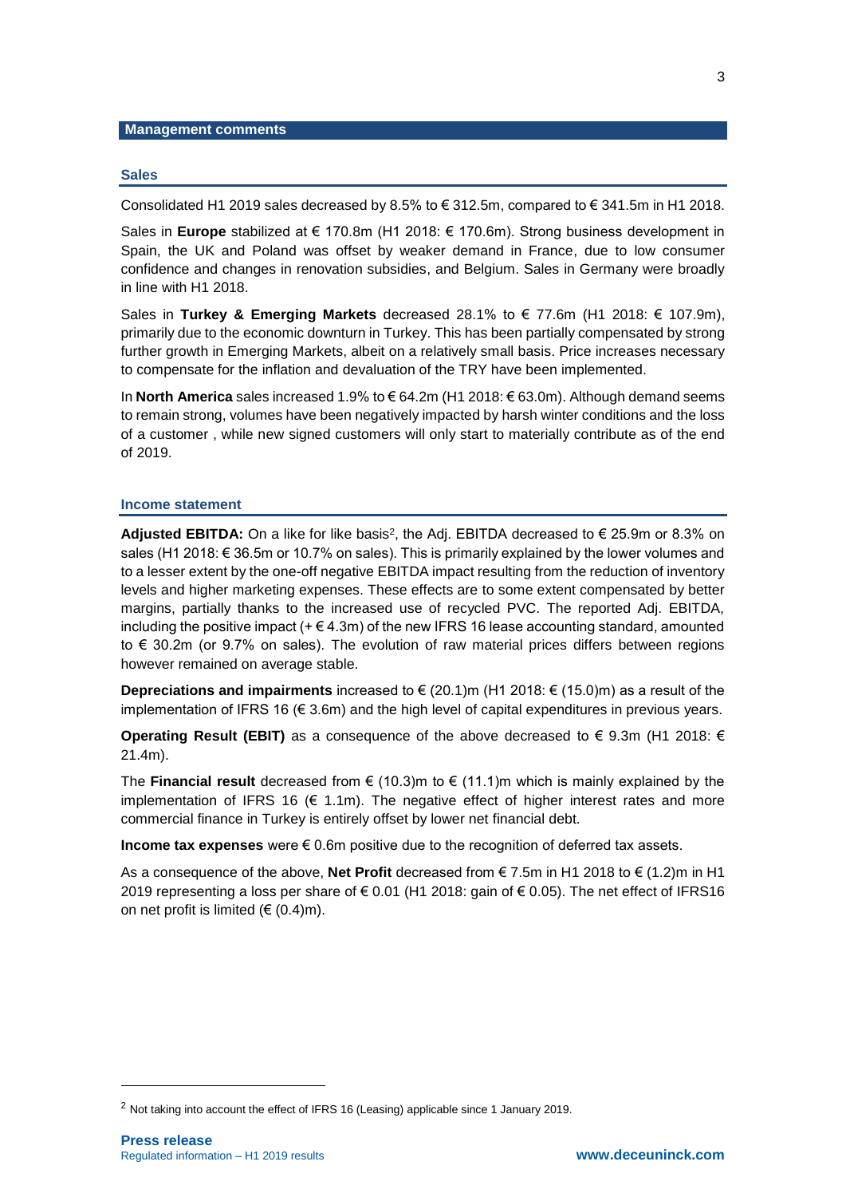#### **Management comments**

#### **Sales**

Consolidated H1 2019 sales decreased by 8.5% to  $\epsilon$  312.5m, compared to  $\epsilon$  341.5m in H1 2018.

Sales in **Europe** stabilized at € 170.8m (H1 2018: € 170.6m). Strong business development in Spain, the UK and Poland was offset by weaker demand in France, due to low consumer confidence and changes in renovation subsidies, and Belgium. Sales in Germany were broadly in line with H1 2018.

Sales in **Turkey & Emerging Markets** decreased 28.1% to € 77.6m (H1 2018: € 107.9m), primarily due to the economic downturn in Turkey. This has been partially compensated by strong further growth in Emerging Markets, albeit on a relatively small basis. Price increases necessary to compensate for the inflation and devaluation of the TRY have been implemented.

In **North America** sales increased 1.9% to € 64.2m (H1 2018: € 63.0m). Although demand seems to remain strong, volumes have been negatively impacted by harsh winter conditions and the loss of a customer , while new signed customers will only start to materially contribute as of the end of 2019.

#### **Income statement**

Adjusted EBITDA: On a like for like basis<sup>2</sup>, the Adj. EBITDA decreased to € 25.9m or 8.3% on sales (H1 2018: € 36.5m or 10.7% on sales). This is primarily explained by the lower volumes and to a lesser extent by the one-off negative EBITDA impact resulting from the reduction of inventory levels and higher marketing expenses. These effects are to some extent compensated by better margins, partially thanks to the increased use of recycled PVC. The reported Adj. EBITDA, including the positive impact  $(+)(4.3m)$  of the new IFRS 16 lease accounting standard, amounted to € 30.2m (or 9.7% on sales). The evolution of raw material prices differs between regions however remained on average stable.

**Depreciations and impairments** increased to € (20.1)m (H1 2018: € (15.0)m) as a result of the implementation of IFRS 16  $(\epsilon \leq 3.6m)$  and the high level of capital expenditures in previous years.

**Operating Result (EBIT)** as a consequence of the above decreased to  $€ 9.3m$  (H1 2018:  $€$ 21.4m).

The **Financial result** decreased from  $\epsilon$  (10.3)m to  $\epsilon$  (11.1)m which is mainly explained by the implementation of IFRS 16 ( $\epsilon$  1.1m). The negative effect of higher interest rates and more commercial finance in Turkey is entirely offset by lower net financial debt.

**Income tax expenses** were € 0.6m positive due to the recognition of deferred tax assets.

As a consequence of the above, **Net Profit** decreased from € 7.5m in H1 2018 to € (1.2)m in H1 2019 representing a loss per share of € 0.01 (H1 2018: gain of € 0.05). The net effect of IFRS16 on net profit is limited ( $\in$  (0.4)m).

-

<sup>2</sup> Not taking into account the effect of IFRS 16 (Leasing) applicable since 1 January 2019.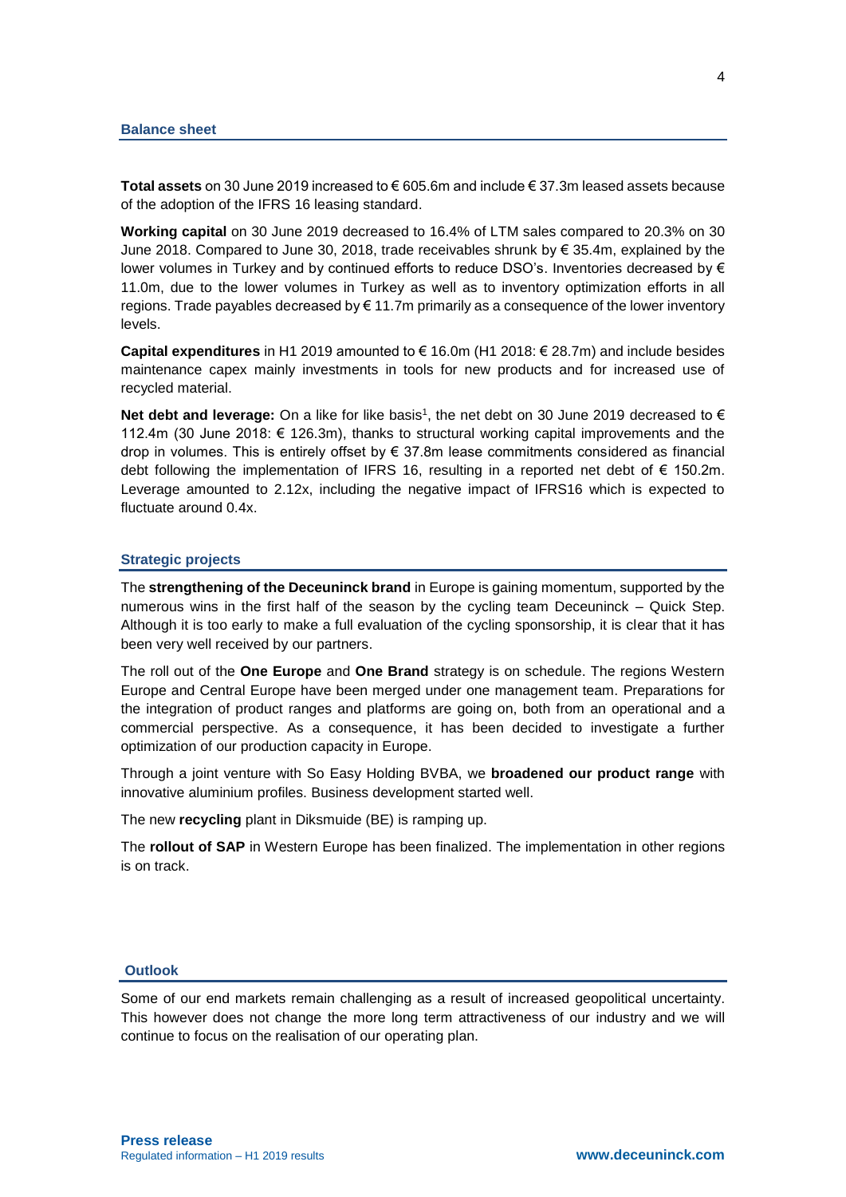**Total assets** on 30 June 2019 increased to € 605.6m and include € 37.3m leased assets because of the adoption of the IFRS 16 leasing standard.

**Working capital** on 30 June 2019 decreased to 16.4% of LTM sales compared to 20.3% on 30 June 2018. Compared to June 30, 2018, trade receivables shrunk by € 35.4m, explained by the lower volumes in Turkey and by continued efforts to reduce DSO's. Inventories decreased by € 11.0m, due to the lower volumes in Turkey as well as to inventory optimization efforts in all regions. Trade payables decreased by  $\epsilon$  11.7m primarily as a consequence of the lower inventory levels.

**Capital expenditures** in H1 2019 amounted to € 16.0m (H1 2018: € 28.7m) and include besides maintenance capex mainly investments in tools for new products and for increased use of recycled material.

**Net debt and leverage:** On a like for like basis<sup>1</sup>, the net debt on 30 June 2019 decreased to € 112.4m (30 June 2018: € 126.3m), thanks to structural working capital improvements and the drop in volumes. This is entirely offset by € 37.8m lease commitments considered as financial debt following the implementation of IFRS 16, resulting in a reported net debt of  $\epsilon$  150.2m. Leverage amounted to 2.12x, including the negative impact of IFRS16 which is expected to fluctuate around 0.4x.

#### **Strategic projects**

The **strengthening of the Deceuninck brand** in Europe is gaining momentum, supported by the numerous wins in the first half of the season by the cycling team Deceuninck – Quick Step. Although it is too early to make a full evaluation of the cycling sponsorship, it is clear that it has been very well received by our partners.

The roll out of the **One Europe** and **One Brand** strategy is on schedule. The regions Western Europe and Central Europe have been merged under one management team. Preparations for the integration of product ranges and platforms are going on, both from an operational and a commercial perspective. As a consequence, it has been decided to investigate a further optimization of our production capacity in Europe.

Through a joint venture with So Easy Holding BVBA, we **broadened our product range** with innovative aluminium profiles. Business development started well.

The new **recycling** plant in Diksmuide (BE) is ramping up.

The **rollout of SAP** in Western Europe has been finalized. The implementation in other regions is on track.

### **Outlook**

Some of our end markets remain challenging as a result of increased geopolitical uncertainty. This however does not change the more long term attractiveness of our industry and we will continue to focus on the realisation of our operating plan.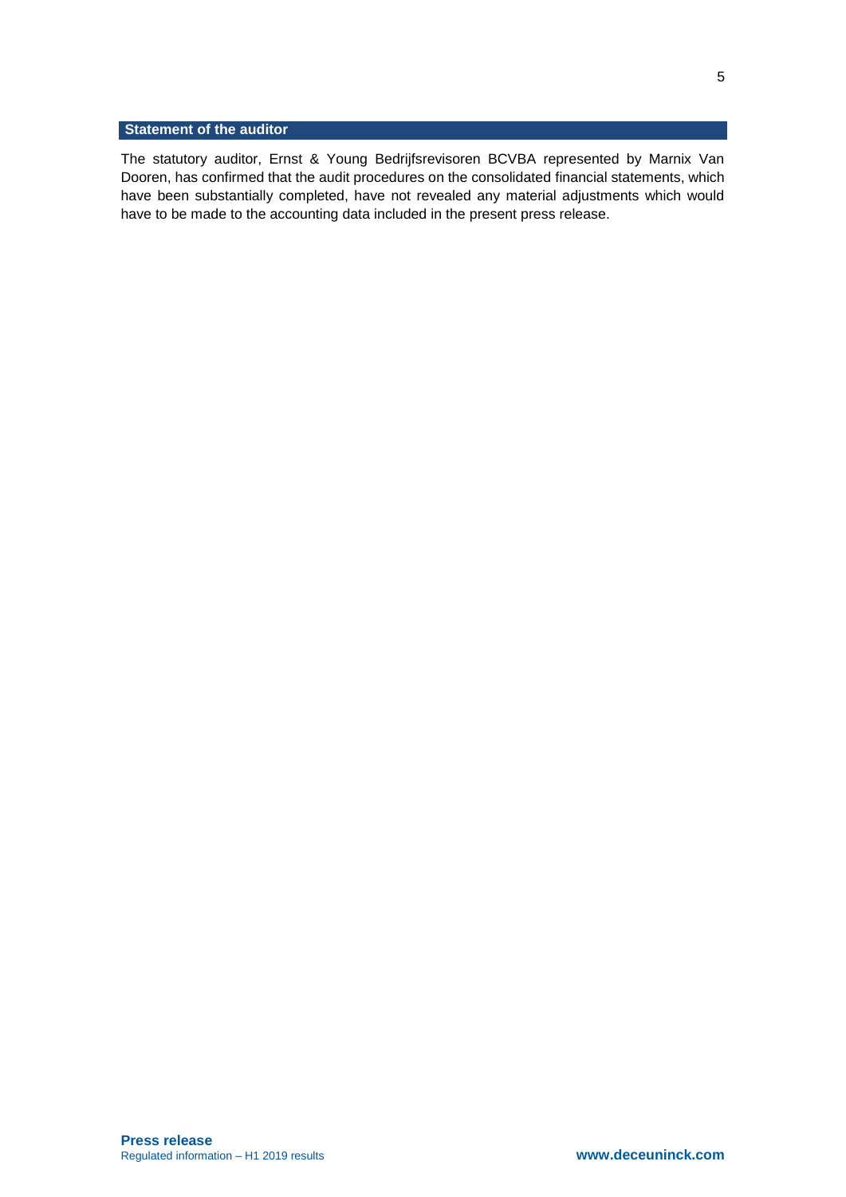# **Statement of the auditor**

The statutory auditor, Ernst & Young Bedrijfsrevisoren BCVBA represented by Marnix Van Dooren, has confirmed that the audit procedures on the consolidated financial statements, which have been substantially completed, have not revealed any material adjustments which would have to be made to the accounting data included in the present press release.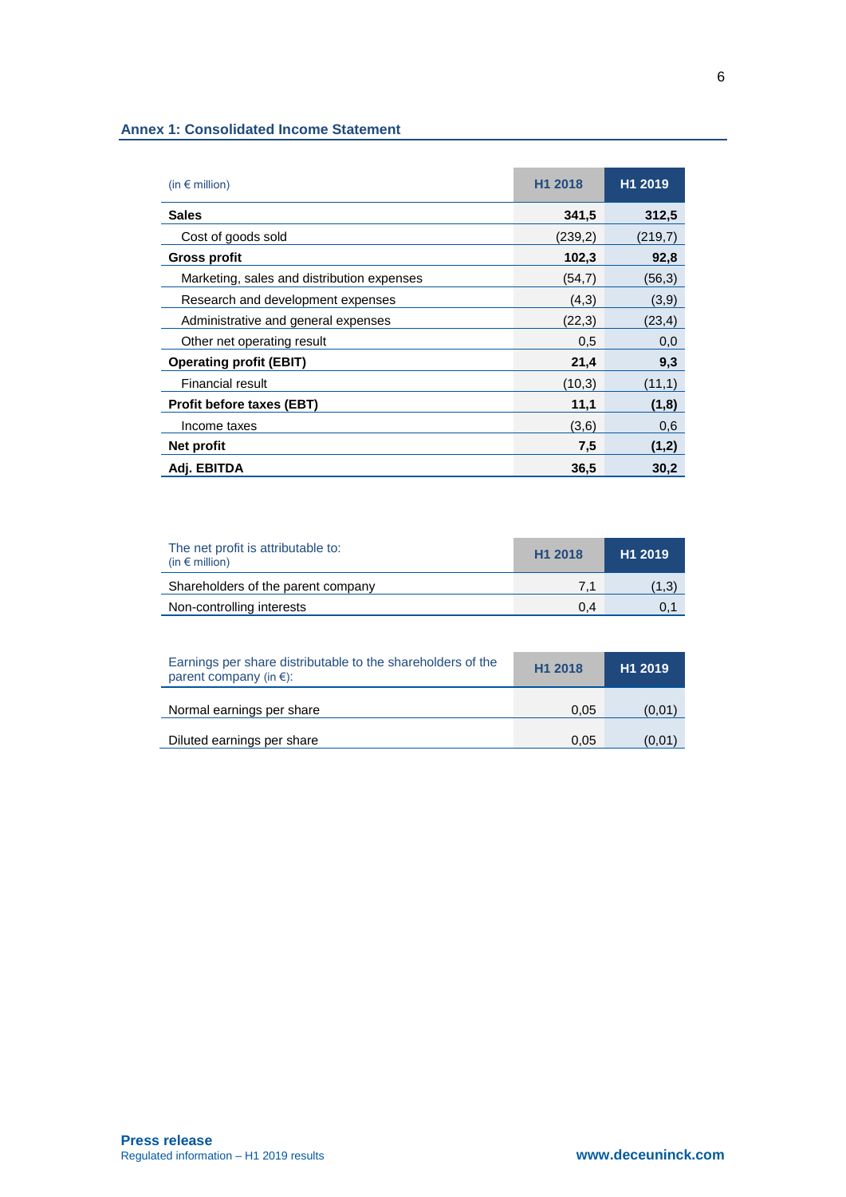### **Annex 1: Consolidated Income Statement**

| (in $\epsilon$ million)                    | H <sub>1</sub> 2018 | H <sub>1</sub> 2019 |
|--------------------------------------------|---------------------|---------------------|
| <b>Sales</b>                               | 341,5               | 312,5               |
| Cost of goods sold                         | (239,2)             | (219,7)             |
| Gross profit                               | 102,3               | 92,8                |
| Marketing, sales and distribution expenses | (54,7)              | (56,3)              |
| Research and development expenses          | (4,3)               | (3,9)               |
| Administrative and general expenses        | (22,3)              | (23, 4)             |
| Other net operating result                 | 0,5                 | 0,0                 |
| <b>Operating profit (EBIT)</b>             | 21,4                | 9,3                 |
| <b>Financial result</b>                    | (10,3)              | (11,1)              |
| <b>Profit before taxes (EBT)</b>           | 11,1                | (1,8)               |
| Income taxes                               | (3,6)               | 0,6                 |
| Net profit                                 | 7,5                 | (1,2)               |
| Adj. EBITDA                                | 36,5                | 30,2                |

| The net profit is attributable to:<br>(in $\epsilon$ million) | H <sub>1</sub> 2018 | H <sub>1</sub> 2019 |
|---------------------------------------------------------------|---------------------|---------------------|
| Shareholders of the parent company                            | 7.1                 | (1,3)               |
| Non-controlling interests                                     | 0.4                 | 0,1                 |

| Earnings per share distributable to the shareholders of the<br>parent company (in $\epsilon$ ): | H <sub>1</sub> 2018 | H <sub>1</sub> 2019 |
|-------------------------------------------------------------------------------------------------|---------------------|---------------------|
| Normal earnings per share                                                                       | 0.05                | (0,01)              |
| Diluted earnings per share                                                                      | 0.05                | (0,01)              |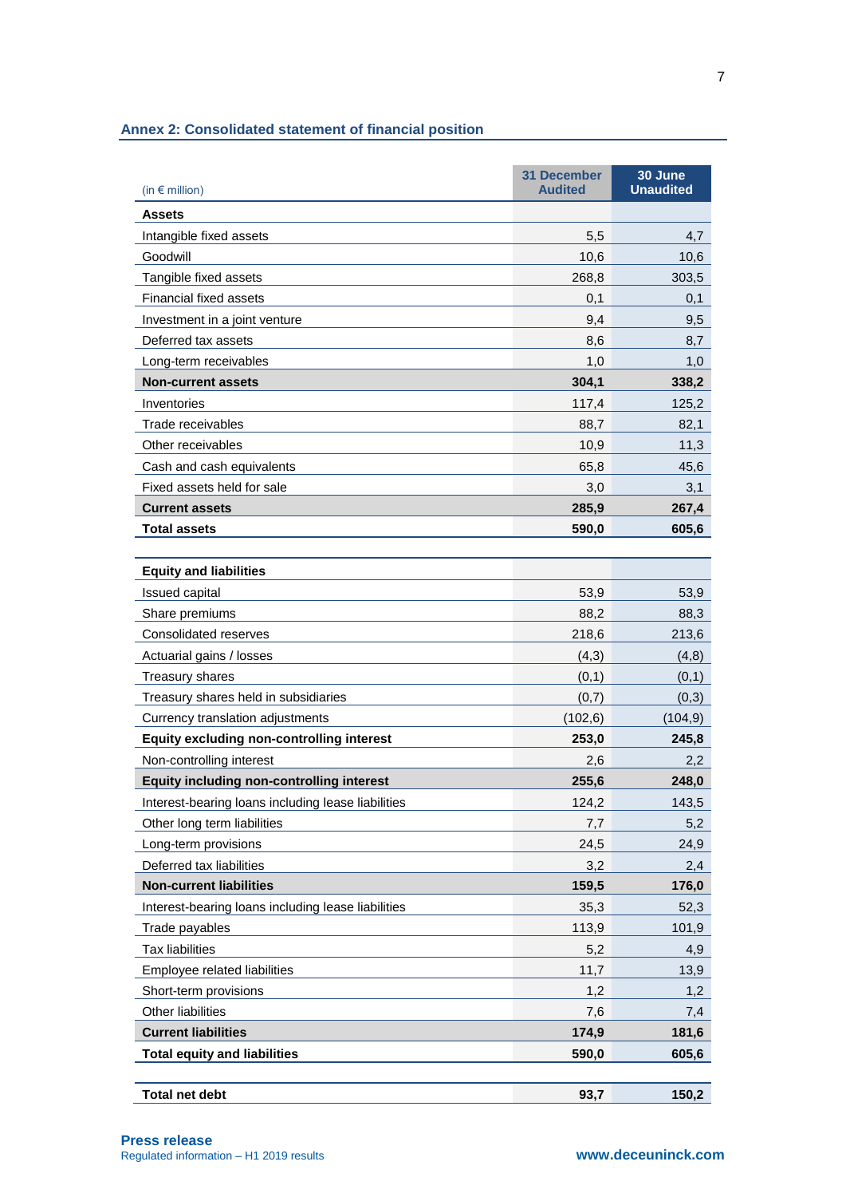|  | <b>Annex 2: Consolidated statement of financial position</b> |  |  |  |  |
|--|--------------------------------------------------------------|--|--|--|--|
|--|--------------------------------------------------------------|--|--|--|--|

| (in $\epsilon$ million)                            | <b>31 December</b><br><b>Audited</b> | 30 June<br><b>Unaudited</b> |
|----------------------------------------------------|--------------------------------------|-----------------------------|
| <b>Assets</b>                                      |                                      |                             |
| Intangible fixed assets                            | 5,5                                  | 4,7                         |
| Goodwill                                           | 10,6                                 | 10,6                        |
| Tangible fixed assets                              | 268,8                                | 303,5                       |
| <b>Financial fixed assets</b>                      | 0,1                                  | 0,1                         |
| Investment in a joint venture                      | 9,4                                  | 9,5                         |
| Deferred tax assets                                | 8,6                                  | 8,7                         |
| Long-term receivables                              | 1,0                                  | 1,0                         |
| <b>Non-current assets</b>                          | 304,1                                | 338,2                       |
| Inventories                                        | 117,4                                | 125,2                       |
| Trade receivables                                  | 88,7                                 | 82,1                        |
| Other receivables                                  | 10,9                                 | 11,3                        |
| Cash and cash equivalents                          | 65,8                                 | 45,6                        |
| Fixed assets held for sale                         | 3,0                                  | 3,1                         |
| <b>Current assets</b>                              | 285,9                                | 267,4                       |
| <b>Total assets</b>                                | 590,0                                | 605,6                       |
| <b>Equity and liabilities</b>                      |                                      |                             |
| Issued capital                                     | 53,9                                 | 53,9                        |
| Share premiums                                     | 88,2                                 | 88,3                        |
| Consolidated reserves                              | 218,6                                | 213,6                       |
| Actuarial gains / losses                           | (4,3)                                | (4,8)                       |
| Treasury shares                                    | (0,1)                                | (0,1)                       |
| Treasury shares held in subsidiaries               | (0,7)                                | (0,3)                       |
| Currency translation adjustments                   | (102, 6)                             | (104, 9)                    |
| <b>Equity excluding non-controlling interest</b>   | 253,0                                | 245,8                       |
| Non-controlling interest                           | 2,6                                  | 2,2                         |
| <b>Equity including non-controlling interest</b>   | 255,6                                | 248,0                       |
| Interest-bearing loans including lease liabilities | 124,2                                | 143,5                       |
| Other long term liabilities                        | 7,7                                  | 5,2                         |
| Long-term provisions                               | 24,5                                 | 24,9                        |
| Deferred tax liabilities                           | 3,2                                  | 2,4                         |
| <b>Non-current liabilities</b>                     | 159,5                                | 176,0                       |
| Interest-bearing loans including lease liabilities | 35,3                                 | 52,3                        |
| Trade payables                                     | 113,9                                | 101,9                       |
| <b>Tax liabilities</b>                             | 5,2                                  | 4,9                         |
| Employee related liabilities                       | 11,7                                 | 13,9                        |
| Short-term provisions                              | 1,2                                  | 1,2                         |
| Other liabilities                                  | 7,6                                  | 7,4                         |
| <b>Current liabilities</b>                         | 174,9                                | 181,6                       |
| <b>Total equity and liabilities</b>                | 590,0                                | 605,6                       |
| <b>Total net debt</b>                              | 93,7                                 | 150,2                       |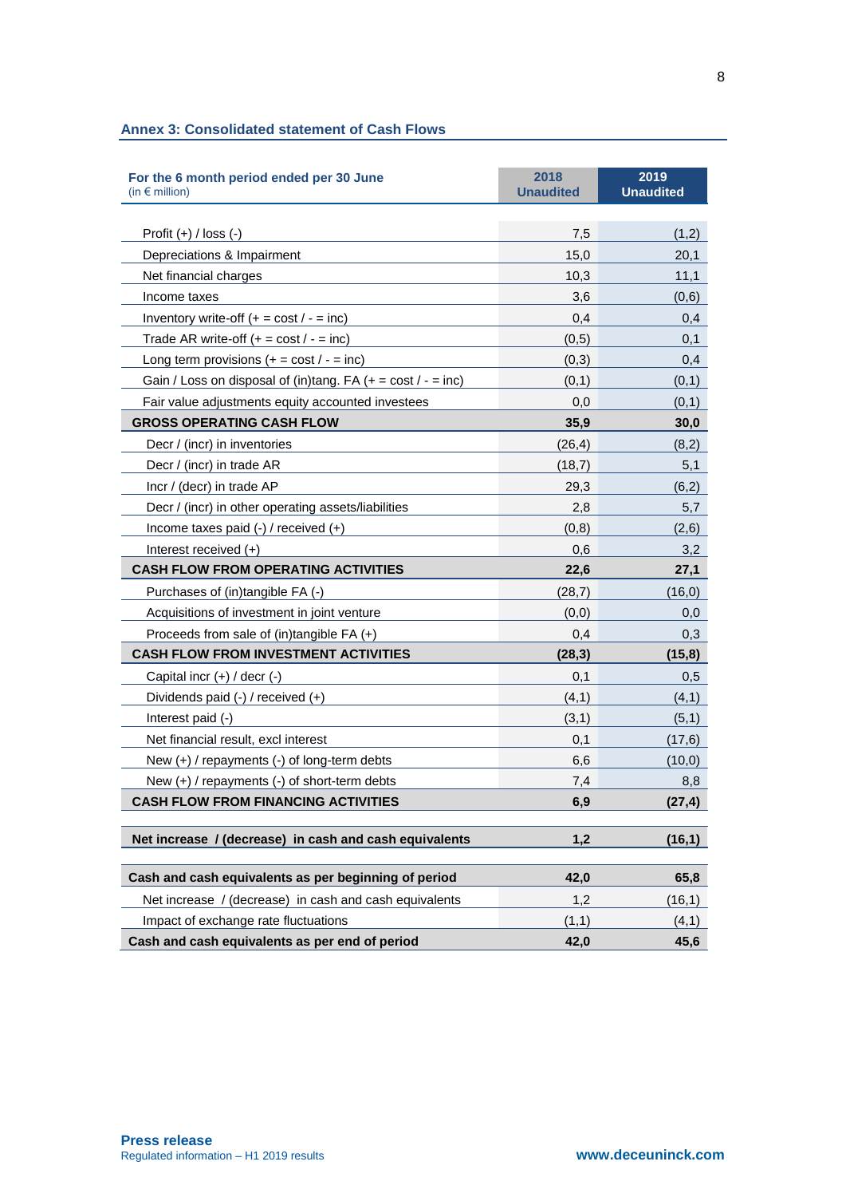| <b>Annex 3: Consolidated statement of Cash Flows</b> |  |  |
|------------------------------------------------------|--|--|
|------------------------------------------------------|--|--|

| For the 6 month period ended per 30 June<br>(in € million)     | 2018<br><b>Unaudited</b> | 2019<br><b>Unaudited</b> |
|----------------------------------------------------------------|--------------------------|--------------------------|
|                                                                |                          |                          |
| Profit $(+)$ / loss $(-)$                                      | 7,5                      | (1,2)                    |
| Depreciations & Impairment                                     | 15,0                     | 20,1                     |
| Net financial charges                                          | 10,3                     | 11,1                     |
| Income taxes                                                   | 3,6                      | (0,6)                    |
| Inventory write-off $(+ = \cos t / - = \text{inc})$            | 0,4                      | 0,4                      |
| Trade AR write-off $(+) = \cos t / - = \text{inc}$             | (0,5)                    | 0,1                      |
| Long term provisions $(+ = \text{cost}/ - = \text{inc})$       | (0,3)                    | 0,4                      |
| Gain / Loss on disposal of (in)tang. $FA$ (+ = cost / - = inc) | (0,1)                    | (0,1)                    |
| Fair value adjustments equity accounted investees              | 0,0                      | (0,1)                    |
| <b>GROSS OPERATING CASH FLOW</b>                               | 35,9                     | 30,0                     |
| Decr / (incr) in inventories                                   | (26, 4)                  | (8,2)                    |
| Decr / (incr) in trade AR                                      | (18,7)                   | 5,1                      |
| Incr / (decr) in trade AP                                      | 29,3                     | (6,2)                    |
| Decr / (incr) in other operating assets/liabilities            | 2,8                      | 5,7                      |
| Income taxes paid $(-)$ / received $(+)$                       | (0,8)                    | (2,6)                    |
| Interest received (+)                                          | 0,6                      | 3,2                      |
| <b>CASH FLOW FROM OPERATING ACTIVITIES</b>                     | 22,6                     | 27,1                     |
| Purchases of (in)tangible FA (-)                               | (28,7)                   | (16, 0)                  |
| Acquisitions of investment in joint venture                    | (0,0)                    | 0,0                      |
| Proceeds from sale of (in)tangible FA (+)                      | 0,4                      | 0,3                      |
| <b>CASH FLOW FROM INVESTMENT ACTIVITIES</b>                    | (28, 3)                  | (15, 8)                  |
| Capital incr $(+)$ / decr $(-)$                                | 0,1                      | 0,5                      |
| Dividends paid $(-)$ / received $(+)$                          | (4,1)                    | (4,1)                    |
| Interest paid (-)                                              | (3,1)                    | (5,1)                    |
| Net financial result, excl interest                            | 0,1                      | (17, 6)                  |
| New $(+)$ / repayments $(-)$ of long-term debts                | 6,6                      | (10, 0)                  |
| New (+) / repayments (-) of short-term debts                   | 7,4                      | 8,8                      |
| CASH FLOW FROM FINANCING ACTIVITIES                            | 6,9                      | (27, 4)                  |
| Net increase / (decrease) in cash and cash equivalents         | 1,2                      | (16,1)                   |
| Cash and cash equivalents as per beginning of period           | 42,0                     | 65,8                     |
| Net increase / (decrease) in cash and cash equivalents         | 1,2                      | (16, 1)                  |
| Impact of exchange rate fluctuations                           | (1,1)                    | (4,1)                    |
| Cash and cash equivalents as per end of period                 | 42,0                     | 45,6                     |